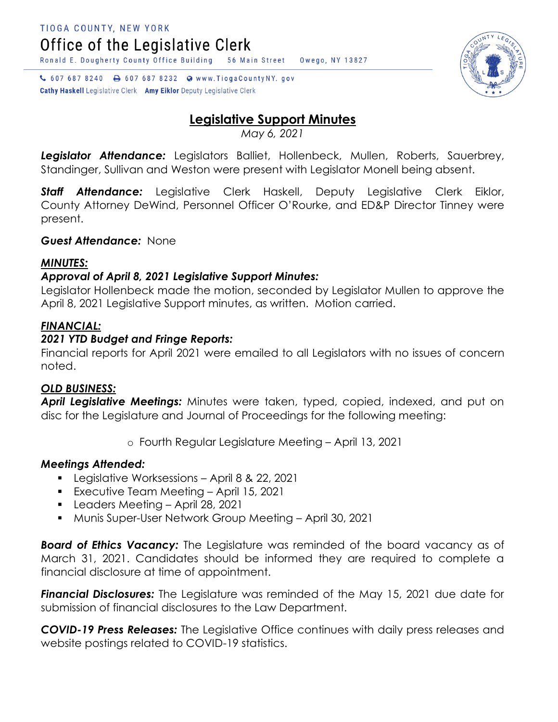C 607 687 8240 a 607 687 8232 a www.TiogaCountyNY.gov

**Cathy Haskell** Legislative Clerk Amy Eiklor Deputy Legislative Clerk

# **Legislative Support Minutes**

Owego, NY 13827

*May 6, 2021*

*Legislator Attendance:* Legislators Balliet, Hollenbeck, Mullen, Roberts, Sauerbrey, Standinger, Sullivan and Weston were present with Legislator Monell being absent.

*Staff Attendance:* Legislative Clerk Haskell, Deputy Legislative Clerk Eiklor, County Attorney DeWind, Personnel Officer O'Rourke, and ED&P Director Tinney were present.

*Guest Attendance:* None

#### *MINUTES:*

## *Approval of April 8, 2021 Legislative Support Minutes:*

Legislator Hollenbeck made the motion, seconded by Legislator Mullen to approve the April 8, 2021 Legislative Support minutes, as written. Motion carried.

### *FINANCIAL:*

### *2021 YTD Budget and Fringe Reports:*

Financial reports for April 2021 were emailed to all Legislators with no issues of concern noted.

### *OLD BUSINESS:*

*April Legislative Meetings:* Minutes were taken, typed, copied, indexed, and put on disc for the Legislature and Journal of Proceedings for the following meeting:

o Fourth Regular Legislature Meeting – April 13, 2021

### *Meetings Attended:*

- **Legislative Worksessions April 8 & 22, 2021**
- **Executive Team Meeting April 15, 2021**
- Leaders Meeting April 28, 2021
- Munis Super-User Network Group Meeting April 30, 2021

*Board of Ethics Vacancy:* The Legislature was reminded of the board vacancy as of March 31, 2021. Candidates should be informed they are required to complete a financial disclosure at time of appointment.

*Financial Disclosures:* The Legislature was reminded of the May 15, 2021 due date for submission of financial disclosures to the Law Department.

*COVID-19 Press Releases:* The Legislative Office continues with daily press releases and website postings related to COVID-19 statistics.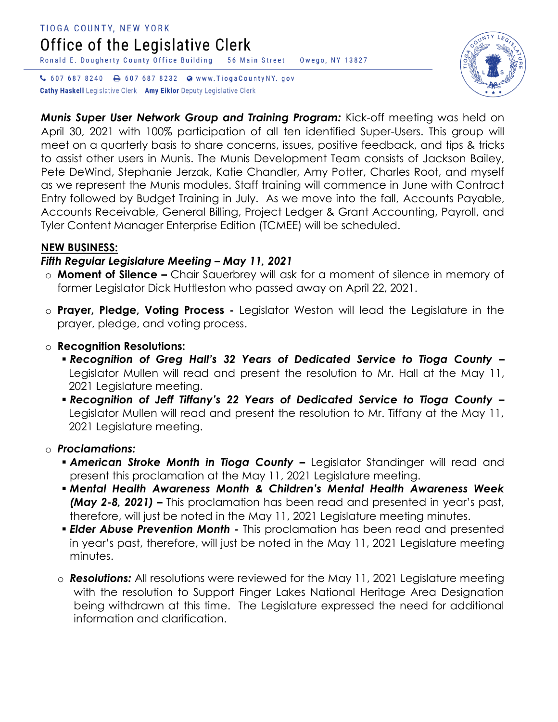# TIOGA COUNTY, NEW YORK Office of the Legislative Clerk

Ronald E. Dougherty County Office Building 56 Main Street Owego, NY 13827

↓ 607 687 8240 → 607 687 8232 ● www.TiogaCountyNY.gov Cathy Haskell Legislative Clerk Amy Eiklor Deputy Legislative Clerk



*Munis Super User Network Group and Training Program:* Kick-off meeting was held on April 30, 2021 with 100% participation of all ten identified Super-Users. This group will meet on a quarterly basis to share concerns, issues, positive feedback, and tips & tricks to assist other users in Munis. The Munis Development Team consists of Jackson Bailey, Pete DeWind, Stephanie Jerzak, Katie Chandler, Amy Potter, Charles Root, and myself as we represent the Munis modules. Staff training will commence in June with Contract Entry followed by Budget Training in July. As we move into the fall, Accounts Payable, Accounts Receivable, General Billing, Project Ledger & Grant Accounting, Payroll, and Tyler Content Manager Enterprise Edition (TCMEE) will be scheduled.

#### **NEW BUSINESS:**

#### *Fifth Regular Legislature Meeting – May 11, 2021*

- o **Moment of Silence –** Chair Sauerbrey will ask for a moment of silence in memory of former Legislator Dick Huttleston who passed away on April 22, 2021.
- o **Prayer, Pledge, Voting Process -** Legislator Weston will lead the Legislature in the prayer, pledge, and voting process.
- o **Recognition Resolutions:**
	- *Recognition of Greg Hall's 32 Years of Dedicated Service to Tioga County –* Legislator Mullen will read and present the resolution to Mr. Hall at the May 11, 2021 Legislature meeting.
	- *Recognition of Jeff Tiffany's 22 Years of Dedicated Service to Tioga County –* Legislator Mullen will read and present the resolution to Mr. Tiffany at the May 11, 2021 Legislature meeting.

### o *Proclamations:*

- *American Stroke Month in Tioga County –* Legislator Standinger will read and present this proclamation at the May 11, 2021 Legislature meeting.
- *Mental Health Awareness Month & Children's Mental Health Awareness Week (May 2-8, 2021) –* This proclamation has been read and presented in year's past, therefore, will just be noted in the May 11, 2021 Legislature meeting minutes.
- *Elder Abuse Prevention Month -* This proclamation has been read and presented in year's past, therefore, will just be noted in the May 11, 2021 Legislature meeting minutes.
- o *Resolutions:* All resolutions were reviewed for the May 11, 2021 Legislature meeting with the resolution to Support Finger Lakes National Heritage Area Designation being withdrawn at this time. The Legislature expressed the need for additional information and clarification.